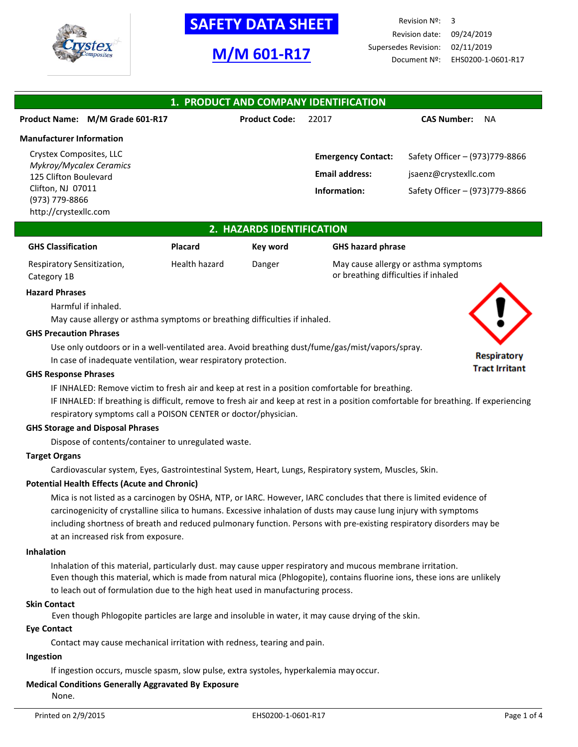

# **M/M 601-R17**

Revision Nº: 3 Revision date: 09/24/2019 Supersedes Revision: 02/11/2019 Document Nº: EHS0200-1-0601-R17

#### **1. PRODUCT AND COMPANY IDENTIFICATION Product Name: M/M Grade 601-R17 Product Code:** 22017 **CAS Number:** NA **Manufacturer Information** Crystex Composites, LLC *Mykroy/Mycalex Ceramics* 125 Clifton Boulevard Clifton, NJ 07011 (973) 779-8866 http://crystexllc.com **Emergency Contact:** Safety Officer – (973)779-8866 **Email address:** [jsaenz@crystexllc.com](mailto:jsaenz@crystexllc.com) **Information:** Safety Officer – (973)779-8866

## **2. HAZARDS IDENTIFICATION**

| <b>GHS Classification</b>  | Placard       | Kev word | <b>GHS hazard phrase</b>             |
|----------------------------|---------------|----------|--------------------------------------|
| Respiratory Sensitization, | Health hazard | Danger   | May cause allergy or asthma symptoms |
| Category 1B                |               |          | or breathing difficulties if inhaled |

#### **Hazard Phrases**

Harmful if inhaled.

May cause allergy or asthma symptoms or breathing difficulties if inhaled.

#### **GHS Precaution Phrases**

Use only outdoors or in a well-ventilated area. Avoid breathing dust/fume/gas/mist/vapors/spray.

In case of inadequate ventilation, wear respiratory protection.

#### **GHS Response Phrases**

IF INHALED: Remove victim to fresh air and keep at rest in a position comfortable for breathing.

IF INHALED: If breathing is difficult, remove to fresh air and keep at rest in a position comfortable for breathing. If experiencing respiratory symptoms call a POISON CENTER or doctor/physician.

#### **GHS Storage and Disposal Phrases**

Dispose of contents/container to unregulated waste.

### **Target Organs**

Cardiovascular system, Eyes, Gastrointestinal System, Heart, Lungs, Respiratory system, Muscles, Skin.

#### **Potential Health Effects (Acute and Chronic)**

Mica is not listed as a carcinogen by OSHA, NTP, or IARC. However, IARC concludes that there is limited evidence of carcinogenicity of crystalline silica to humans. Excessive inhalation of dusts may cause lung injury with symptoms including shortness of breath and reduced pulmonary function. Persons with pre-existing respiratory disorders may be at an increased risk from exposure.

#### **Inhalation**

Inhalation of this material, particularly dust. may cause upper respiratory and mucous membrane irritation. Even though this material, which is made from natural mica (Phlogopite), contains fluorine ions, these ions are unlikely to leach out of formulation due to the high heat used in manufacturing process.

#### **Skin Contact**

Even though Phlogopite particles are large and insoluble in water, it may cause drying of the skin.

#### **Eye Contact**

Contact may cause mechanical irritation with redness, tearing and pain.

#### **Ingestion**

If ingestion occurs, muscle spasm, slow pulse, extra systoles, hyperkalemia may occur.

# **Medical Conditions Generally Aggravated By Exposure**

None.



### **Respiratory Tract Irritant**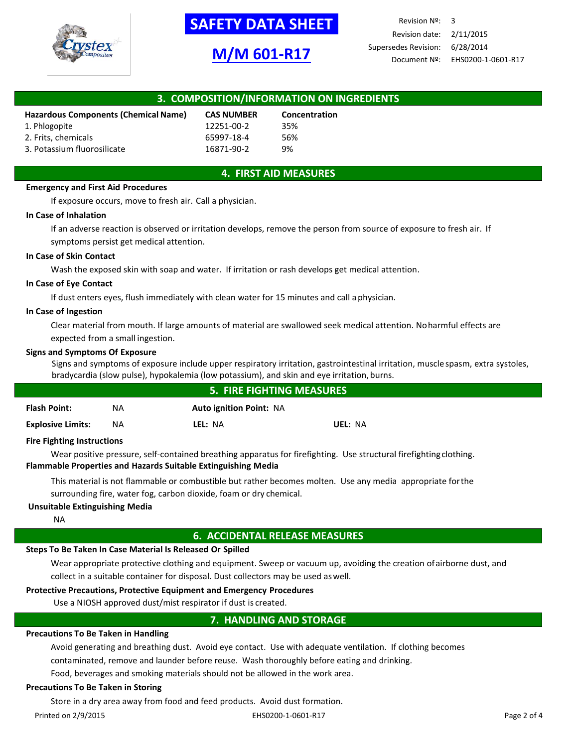

# **M/M 601-R17**

Revision Nº: 3 Revision date: 2/11/2015 Supersedes Revision: 6/28/2014 Document Nº: EHS0200-1-0601-R17

| 3. COMPOSITION/INFORMATION ON INGREDIENTS |                   |               |  |  |
|-------------------------------------------|-------------------|---------------|--|--|
| Hazardous Components (Chemical Name)      | <b>CAS NUMBER</b> | Concentration |  |  |
| 1. Phlogopite                             | 12251-00-2        | 35%           |  |  |
| 2. Frits, chemicals                       | 65997-18-4        | 56%           |  |  |
| 3. Potassium fluorosilicate               | 16871-90-2        | 9%            |  |  |

# **4. FIRST AID MEASURES**

#### **Emergency and First Aid Procedures**

If exposure occurs, move to fresh air. Call a physician.

#### **In Case of Inhalation**

If an adverse reaction is observed or irritation develops, remove the person from source of exposure to fresh air. If symptoms persist get medical attention.

#### **In Case of Skin Contact**

Wash the exposed skin with soap and water. If irritation or rash develops get medical attention.

#### **In Case of Eye Contact**

If dust enters eyes, flush immediately with clean water for 15 minutes and call aphysician.

#### **In Case of Ingestion**

Clear material from mouth. If large amounts of material are swallowed seek medical attention. Noharmful effects are expected from a small ingestion.

#### **Signs and Symptoms Of Exposure**

Signs and symptoms of exposure include upper respiratory irritation, gastrointestinal irritation, muscle spasm, extra systoles, bradycardia (slow pulse), hypokalemia (low potassium), and skin and eye irritation, burns.

|                          |    | 5. FIRE FIGHTING MEASURES      |         |  |
|--------------------------|----|--------------------------------|---------|--|
| <b>Flash Point:</b>      | ΝA | <b>Auto ignition Point: NA</b> |         |  |
| <b>Explosive Limits:</b> | ΝA | LEL: NA                        | UEL: NA |  |

#### **Fire Fighting Instructions**

Wear positive pressure, self-contained breathing apparatus for firefighting. Use structural firefightingclothing. **Flammable Properties and Hazards Suitable Extinguishing Media**

This material is not flammable or combustible but rather becomes molten. Use any media appropriate forthe surrounding fire, water fog, carbon dioxide, foam or dry chemical.

#### **Unsuitable Extinguishing Media**

NA

## **6. ACCIDENTAL RELEASE MEASURES**

#### **Steps To Be Taken In Case Material Is Released Or Spilled**

Wear appropriate protective clothing and equipment. Sweep or vacuum up, avoiding the creation ofairborne dust, and collect in a suitable container for disposal. Dust collectors may be used aswell.

# **Protective Precautions, Protective Equipment and Emergency Procedures**

Use a NIOSH approved dust/mist respirator if dust is created.

# **7. HANDLING AND STORAGE**

#### **Precautions To Be Taken in Handling**

Avoid generating and breathing dust. Avoid eye contact. Use with adequate ventilation. If clothing becomes

contaminated, remove and launder before reuse. Wash thoroughly before eating and drinking.

Food, beverages and smoking materials should not be allowed in the work area.

#### **Precautions To Be Taken in Storing**

Store in a dry area away from food and feed products. Avoid dust formation.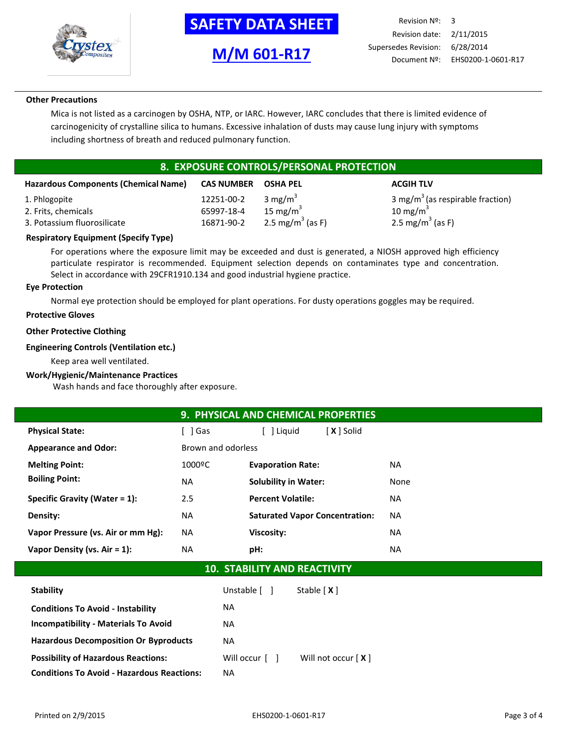

**M/M 601-R17**

Revision Nº: 3 Revision date: 2/11/2015 Supersedes Revision: 6/28/2014 Document Nº: EHS0200-1-0601-R17

### **Other Precautions**

Mica is not listed as a carcinogen by OSHA, NTP, or IARC. However, IARC concludes that there is limited evidence of carcinogenicity of crystalline silica to humans. Excessive inhalation of dusts may cause lung injury with symptoms including shortness of breath and reduced pulmonary function.

# **8. EXPOSURE CONTROLS/PERSONAL PROTECTION**

| <b>Hazardous Components (Chemical Name)</b> | <b>CAS NUMBER</b> | <b>OSHA PEL</b>              | <b>ACGIH TLV</b>                             |
|---------------------------------------------|-------------------|------------------------------|----------------------------------------------|
| 1. Phlogopite                               | 12251-00-2        | 3 mg/m <sup>3</sup>          | 3 mg/m <sup>3</sup> (as respirable fraction) |
| 2. Frits, chemicals                         | 65997-18-4        | 15 mg/m $3$                  | 10 mg/m $3$                                  |
| 3. Potassium fluorosilicate                 | 16871-90-2        | 2.5 mg/m <sup>3</sup> (as F) | 2.5 mg/m <sup>3</sup> (as F)                 |

## **Respiratory Equipment (Specify Type)**

For operations where the exposure limit may be exceeded and dust is generated, a NIOSH approved high efficiency particulate respirator is recommended. Equipment selection depends on contaminates type and concentration. Select in accordance with 29CFR1910.134 and good industrial hygiene practice.

#### **Eye Protection**

Normal eye protection should be employed for plant operations. For dusty operations goggles may be required.

#### **Protective Gloves**

## **Other Protective Clothing**

## **Engineering Controls (Ventilation etc.)**

Keep area well ventilated.

#### **Work/Hygienic/Maintenance Practices**

Wash hands and face thoroughly after exposure.

|                                    | 9. PHYSICAL AND CHEMICAL PROPERTIES       |                                       |           |  |
|------------------------------------|-------------------------------------------|---------------------------------------|-----------|--|
| <b>Physical State:</b>             | [ ] Gas                                   | [ ] Liguid<br>[ <b>X</b> ] Solid      |           |  |
| <b>Appearance and Odor:</b>        | Brown and odorless                        |                                       |           |  |
| <b>Melting Point:</b>              | 1000°C<br><b>Evaporation Rate:</b><br>NA. |                                       |           |  |
| <b>Boiling Point:</b>              | <b>NA</b>                                 | <b>Solubility in Water:</b>           | None      |  |
| Specific Gravity (Water $= 1$ ):   | 2.5                                       | <b>Percent Volatile:</b>              | <b>NA</b> |  |
| Density:                           | <b>NA</b>                                 | <b>Saturated Vapor Concentration:</b> | NA.       |  |
| Vapor Pressure (vs. Air or mm Hg): | NA.                                       | Viscosity:                            | <b>NA</b> |  |
| Vapor Density (vs. Air = 1):       | NA                                        | pH:                                   | NA.       |  |

# **10. STABILITY AND REACTIVITY**

| <b>Stability</b>                                  | Unstable [ ]   | Stable $[X]$         |
|---------------------------------------------------|----------------|----------------------|
| <b>Conditions To Avoid - Instability</b>          | NA.            |                      |
| <b>Incompatibility - Materials To Avoid</b>       | NA.            |                      |
| <b>Hazardous Decomposition Or Byproducts</b>      | NA             |                      |
| <b>Possibility of Hazardous Reactions:</b>        | Will occur [ ] | Will not occur $[X]$ |
| <b>Conditions To Avoid - Hazardous Reactions:</b> | ΝA             |                      |